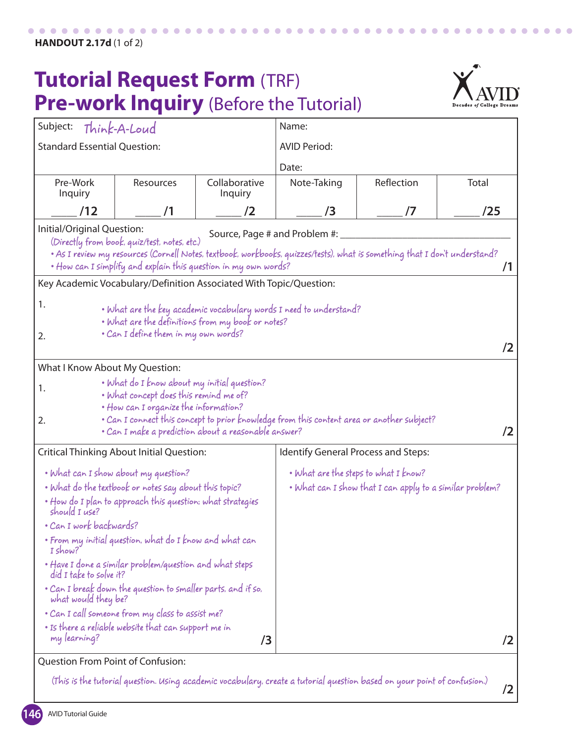## **Tutorial Request Form** (TRF) **Pre-work Inquiry** (Before the Tutorial)



**/2**

| Subject:                                                                                                                                                                                                                                                                                                                                                                                                                                                                                                                                                                | Think-A-Loud                                                                                                                                                                                                                                                                                                                                                                                                                                                  |                          | Name:                                                                                                  |            |       |  |
|-------------------------------------------------------------------------------------------------------------------------------------------------------------------------------------------------------------------------------------------------------------------------------------------------------------------------------------------------------------------------------------------------------------------------------------------------------------------------------------------------------------------------------------------------------------------------|---------------------------------------------------------------------------------------------------------------------------------------------------------------------------------------------------------------------------------------------------------------------------------------------------------------------------------------------------------------------------------------------------------------------------------------------------------------|--------------------------|--------------------------------------------------------------------------------------------------------|------------|-------|--|
| <b>Standard Essential Question:</b>                                                                                                                                                                                                                                                                                                                                                                                                                                                                                                                                     |                                                                                                                                                                                                                                                                                                                                                                                                                                                               |                          | <b>AVID Period:</b>                                                                                    |            |       |  |
|                                                                                                                                                                                                                                                                                                                                                                                                                                                                                                                                                                         |                                                                                                                                                                                                                                                                                                                                                                                                                                                               |                          | Date:                                                                                                  |            |       |  |
| Pre-Work<br>Inquiry                                                                                                                                                                                                                                                                                                                                                                                                                                                                                                                                                     | <b>Resources</b>                                                                                                                                                                                                                                                                                                                                                                                                                                              | Collaborative<br>Inquiry | Note-Taking                                                                                            | Reflection | Total |  |
| /12                                                                                                                                                                                                                                                                                                                                                                                                                                                                                                                                                                     | /1                                                                                                                                                                                                                                                                                                                                                                                                                                                            | /2                       | /3                                                                                                     | /7         | /25   |  |
| Initial/Original Question:<br>Source, Page # and Problem #:<br>(Directly from book, quiz/test, notes, etc.)<br>• As I review my resources (Cornell Notes, textbook, workbooks, quizzes/tests), what is something that I don't understand?<br>• How can I simplify and explain this question in my own words?<br>71<br>Key Academic Vocabulary/Definition Associated With Topic/Question:<br>1.<br>• What are the key academic vocabulary words I need to understand?<br>. What are the definitions from my book or notes?<br>• Can I define them in my own words?<br>2. |                                                                                                                                                                                                                                                                                                                                                                                                                                                               |                          |                                                                                                        |            |       |  |
| 72                                                                                                                                                                                                                                                                                                                                                                                                                                                                                                                                                                      |                                                                                                                                                                                                                                                                                                                                                                                                                                                               |                          |                                                                                                        |            |       |  |
| What I Know About My Question:                                                                                                                                                                                                                                                                                                                                                                                                                                                                                                                                          |                                                                                                                                                                                                                                                                                                                                                                                                                                                               |                          |                                                                                                        |            |       |  |
| • What do I know about my initial question?<br>1.<br>. What concept does this remind me of?<br>• How can I organize the information?<br>• Can I connect this concept to prior knowledge from this content area or another subject?<br>2.<br>• Can I make a prediction about a reasonable answer?<br>/2                                                                                                                                                                                                                                                                  |                                                                                                                                                                                                                                                                                                                                                                                                                                                               |                          |                                                                                                        |            |       |  |
| <b>Critical Thinking About Initial Question:</b>                                                                                                                                                                                                                                                                                                                                                                                                                                                                                                                        |                                                                                                                                                                                                                                                                                                                                                                                                                                                               |                          | Identify General Process and Steps:                                                                    |            |       |  |
| should I use?<br>· Can I work backwards?<br>$I$ show?<br>did I take to solve it?<br>what would they be?<br>my learning?                                                                                                                                                                                                                                                                                                                                                                                                                                                 | • What can I show about my question?<br>• What do the textbook or notes say about this topic?<br>. How do I plan to approach this question; what strategies<br>• From my initial question, what do I know and what can<br>• Have I done a similar problem/question and what steps<br>. Can I break down the question to smaller parts, and if so,<br>• Can I call someone from my class to assist me?<br>• Is there a reliable website that can support me in | /3                       | • What are the steps to what I know?<br>. What can I show that I can apply to a similar problem?<br>/2 |            |       |  |
|                                                                                                                                                                                                                                                                                                                                                                                                                                                                                                                                                                         |                                                                                                                                                                                                                                                                                                                                                                                                                                                               |                          |                                                                                                        |            |       |  |
| <b>Question From Point of Confusion:</b>                                                                                                                                                                                                                                                                                                                                                                                                                                                                                                                                |                                                                                                                                                                                                                                                                                                                                                                                                                                                               |                          |                                                                                                        |            |       |  |

(This is the tutorial question. Using academic vocabulary, create a tutorial question based on your point of confusion.)